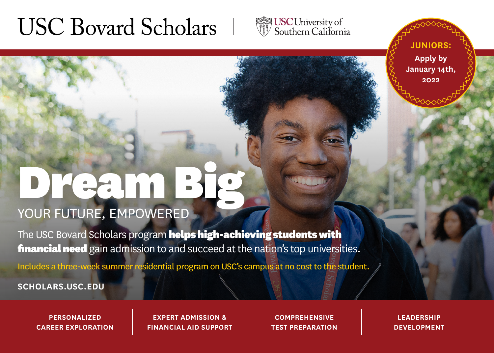# USC Bovard Scholars



**JUNIORS: Apply by January 14th, 2022**

# DREAM BIG YOUR FUTURE, EMPOWERED

The USC Bovard Scholars program helps high-achieving students with financial need gain admission to and succeed at the nation's top universities.

Includes a three-week summer residential program on USC's campus at no cost to the student.

**SCHOLARS.USC.EDU**

**PERSONALIZED CAREER EXPLORATION**

**EXPERT ADMISSION & FINANCIAL AID SUPPORT**

**COMPREHENSIVE TEST PREPARATION**

**LEADERSHIP DEVELOPMENT**